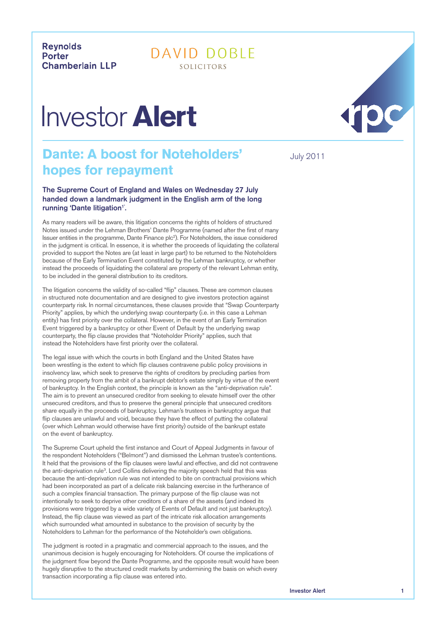**Revnolds Porter Chamberlain LLP** 

## DAVID DOBLE SOLICITORS

## Investor **Alert**

## **Dante: A boost for Noteholders'** July 2011 **hopes for repayment**

The Supreme Court of England and Wales on Wednesday 27 July handed down a landmark judgment in the English arm of the long running 'Dante litigation''.

As many readers will be aware, this litigation concerns the rights of holders of structured Notes issued under the Lehman Brothers' Dante Programme (named after the first of many Issuer entities in the programme, Dante Finance plc<sup>2</sup>). For Noteholders, the issue considered in the judgment is critical. In essence, it is whether the proceeds of liquidating the collateral provided to support the Notes are (at least in large part) to be returned to the Noteholders because of the Early Termination Event constituted by the Lehman bankruptcy, or whether instead the proceeds of liquidating the collateral are property of the relevant Lehman entity, to be included in the general distribution to its creditors.

The litigation concerns the validity of so-called "flip" clauses. These are common clauses in structured note documentation and are designed to give investors protection against counterparty risk. In normal circumstances, these clauses provide that "Swap Counterparty Priority" applies, by which the underlying swap counterparty (i.e. in this case a Lehman entity) has first priority over the collateral. However, in the event of an Early Termination Event triggered by a bankruptcy or other Event of Default by the underlying swap counterparty, the flip clause provides that "Noteholder Priority" applies, such that instead the Noteholders have first priority over the collateral.

The legal issue with which the courts in both England and the United States have been wrestling is the extent to which flip clauses contravene public policy provisions in insolvency law, which seek to preserve the rights of creditors by precluding parties from removing property from the ambit of a bankrupt debtor's estate simply by virtue of the event of bankruptcy. In the English context, the principle is known as the "anti-deprivation rule". The aim is to prevent an unsecured creditor from seeking to elevate himself over the other unsecured creditors, and thus to preserve the general principle that unsecured creditors share equally in the proceeds of bankruptcy. Lehman's trustees in bankruptcy argue that flip clauses are unlawful and void, because they have the effect of putting the collateral (over which Lehman would otherwise have first priority) outside of the bankrupt estate on the event of bankruptcy.

The Supreme Court upheld the first instance and Court of Appeal Judgments in favour of the respondent Noteholders ("Belmont") and dismissed the Lehman trustee's contentions. It held that the provisions of the flip clauses were lawful and effective, and did not contravene the anti-deprivation rule<sup>3</sup>. Lord Collins delivering the majority speech held that this was because the anti-deprivation rule was not intended to bite on contractual provisions which had been incorporated as part of a delicate risk balancing exercise in the furtherance of such a complex financial transaction. The primary purpose of the flip clause was not intentionally to seek to deprive other creditors of a share of the assets (and indeed its provisions were triggered by a wide variety of Events of Default and not just bankruptcy). Instead, the flip clause was viewed as part of the intricate risk allocation arrangements which surrounded what amounted in substance to the provision of security by the Noteholders to Lehman for the performance of the Noteholder's own obligations.

The judgment is rooted in a pragmatic and commercial approach to the issues, and the unanimous decision is hugely encouraging for Noteholders. Of course the implications of the judgment flow beyond the Dante Programme, and the opposite result would have been hugely disruptive to the structured credit markets by undermining the basis on which every transaction incorporating a flip clause was entered into.